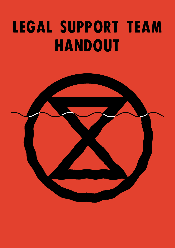# LEGAL SUPPORT TEAM HANDOUT

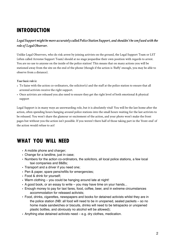# INTRODUCTION

### *Legal Support might be more accurately called Police Station Support, and shouldn't be confused with the role of Legal Observer.*

Unlike Legal Observers, who do risk arrest by joining activists on the ground, the Legal Support Team or LST (often called Arrestee Support Team) should at no stage jeopardise their own position with regards to arrest. You are no use to anyone on the inside of the police station! This means that on many actions you will be stationed away from the site on the end of the phone (though if the action is 'fluffy' enough, you may be able to observe from a distance).

#### *Your basic role is:*

- To liaise with the action co-ordinators, the solicitor(s) and the staff at the police station to ensure that all arrested activists receive the right support.
- Once activists are released you also need to ensure they get the right level of both emotional & physical support

Legal Support is in many ways an unrewarding role, but it is absolutely vital! You will be the last home after the action, often spending hours hanging around police stations into the small hours waiting for the last activists to be released. You won't share the glamour or excitement of the action, and your photo won't make the front pages but without you the action isn't possible. If you weren't there half of those taking part in the 'front-end' of the action would refuse to act!

## WHAT YOU WILL NEED

- A mobile phone and charger:
- Change for a landline, just in case;
- Numbers for the action co-ordinators, the solicitors, all local police stations, a few local taxi companies and B&Bs;
- Transport and a driver if you need one;
- Pen & paper, spare pens/refills for emergencies;
- Food & drink for yourself;
- Warm clothing you could be hanging around late at night!
- A good book, or an essay to write you may have time on your hands...
- Enough money to pay for taxi fares, food, coffee, beer, and in extreme circumstances accommodation for released activists;
- Food, drinks, cigarettes, newspapers and books for detained activists whilst they are in the police station (NB: all food will need to be in unopened, sealed packets – so no home made sandwiches or biscuits, drinks will need to be tetrapacks or unopened plastic bottles, and obviously no alcohol will be allowed);
- Anything else detained activists need e.g. dry clothes, medication.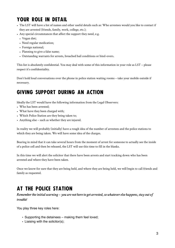# YOUR ROLE IN DETAIL

- The LST will have a list of names and other useful details such as: Who arrestees would you like to contact if they are arrested (friends, family, work, college, etc.);
- Any special circumstances that affect the support they need, e.g.
	- Vegan diet;
	- Need regular medication;
	- Foreign national;
	- Planning to give a false name;
	- Outstanding warrants for arrests, breached bail conditions or bind-overs.

This list is absolutely confidential. You may deal with some of this information in your role as LST – please respect it's confidentiality.

Don't hold loud conversations over the phone in police station waiting rooms – take your mobile outside if necessary.

## GIVING SUPPORT DURING AN ACTION

Ideally the LST would have the following information from the Legal Observers:

- Who has been arrested;
- What have they been charged with;
- Which Police Station are they being taken to;
- Anything else such as whether they are injured.

In reality we will probably (initially) have a rough idea of the number of arrestees and the police stations to which they are being taken. We will have some idea of the charges.

Bearing in mind that it can take several hours from the moment of arrest for someone to actually see the inside of a police cell and then be released, the LST will use this time to fill in the blanks.

In this time we will alert the solicitor that there have been arrests and start tracking down who has been arrested and where they have been taken.

Once we know for sure that they are being held, and where they are being held, we will begin to call friends and family as requested.

## AT THE POLICE STATION

*Remember the initial warning – you are not here to get arrested, so whatever else happens, stay out of trouble!* 

You play three key roles here:

- Supporting the detainees making them feel loved;
- Liaising with the solicitor(s);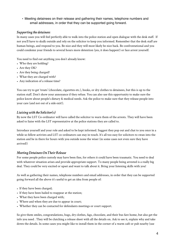• Meeting detainees on their release and gathering their names, telephone numbers and email addresses, in order that they can be supported going forward.

#### *Supporting the detainees*

In many cases you will feel perfectly able to walk into the police station and open dialogue with the desk staff. If not you'll have to skulk outside and rely on the solicitor to keep you informed. Remember that the desk staff are human beings, and respond to you. Be nice and they will most likely be nice back. Be confrontational and you could condemn your friends to several hours more detention (yes, it does happen!) or face arrest yourself.

You need to find out anything you don't already know:

- Who they are holding?
- Are they OK?
- Are they being charged?
- What they are charged with?
- Any indication of a release time?

You can try to get 'treats' (chocolate, cigarettes etc.), books, or dry clothes to detainees, but this is up to the station staff. Don't show your annoyance if they refuse. You can also use this opportunity to make sure the police know about people's dietary & medical needs. Ask the police to make sure that they release people into your care (and not out of a side exit!).

#### *Liaising with the Solicitor(s)*

By now the LST Co-ordinator will have called the solicitor to warn them of the arrests. They will have been asked to liaise with the LST representative at the police stations they are called to.

Introduce yourself and your role and asked to be kept informed. Suggest they pop out and chat to you once in a while so fellow activists and LST co-ordinators can stay in touch. It's all too easy for solicitors to swan into the station and be in there for hours with you outside none the wiser (in some cases not even sure they have arrived!)

#### *Meeting Detainees On Their Release*

For some people police custody may have been fine, for others it could have been traumatic. You need to deal with whatever situation arises and provide appropriate support. To many people being arrested is a really big deal. They could be very excited or upset and want to talk about it. Bring your listening skills with you!

As well as gathering their names, telephone numbers and email addresses, in order that they can be supported going forward all the above it's useful to get an idea from people of:

- If they have been charged;
- If they have been bailed to reappear at the station;
- What they have been charged with;
- Where and when they are due to appear in court;
- Whether they can be contacted for defendants meetings or court support.

So give them smiles, congratulations, hugs, dry clothes, fags, chocolate, and their bus fare home, but also get the info you need . They will be clutching a release sheet with all the details on. Ask to see it, explain why and take down the details. In some cases you might like to install them in the corner of a warm café or pub nearby (use